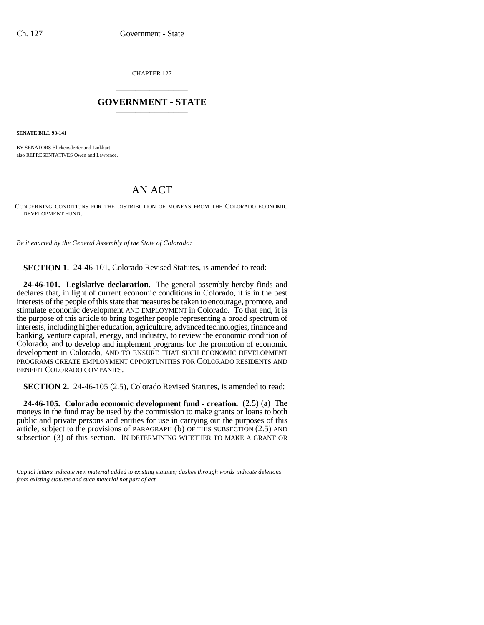CHAPTER 127 \_\_\_\_\_\_\_\_\_\_\_\_\_\_\_

## **GOVERNMENT - STATE** \_\_\_\_\_\_\_\_\_\_\_\_\_\_\_

**SENATE BILL 98-141**

BY SENATORS Blickensderfer and Linkhart; also REPRESENTATIVES Owen and Lawrence.

## AN ACT

CONCERNING CONDITIONS FOR THE DISTRIBUTION OF MONEYS FROM THE COLORADO ECONOMIC DEVELOPMENT FUND.

*Be it enacted by the General Assembly of the State of Colorado:*

**SECTION 1.** 24-46-101, Colorado Revised Statutes, is amended to read:

**24-46-101. Legislative declaration.** The general assembly hereby finds and declares that, in light of current economic conditions in Colorado, it is in the best interests of the people of this state that measures be taken to encourage, promote, and stimulate economic development AND EMPLOYMENT in Colorado. To that end, it is the purpose of this article to bring together people representing a broad spectrum of interests, including higher education, agriculture, advanced technologies, finance and banking, venture capital, energy, and industry, to review the economic condition of Colorado, and to develop and implement programs for the promotion of economic development in Colorado, AND TO ENSURE THAT SUCH ECONOMIC DEVELOPMENT PROGRAMS CREATE EMPLOYMENT OPPORTUNITIES FOR COLORADO RESIDENTS AND BENEFIT COLORADO COMPANIES.

**SECTION 2.** 24-46-105 (2.5), Colorado Revised Statutes, is amended to read:

public and private persons and entities for use in carrying out the purposes of this **24-46-105. Colorado economic development fund - creation.** (2.5) (a) The moneys in the fund may be used by the commission to make grants or loans to both article, subject to the provisions of PARAGRAPH (b) OF THIS SUBSECTION (2.5) AND subsection (3) of this section. IN DETERMINING WHETHER TO MAKE A GRANT OR

*Capital letters indicate new material added to existing statutes; dashes through words indicate deletions from existing statutes and such material not part of act.*